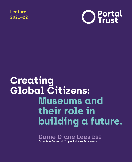**Lecture 2021–22**



# **Creating Global Citizens: Museums and their role in building a future.**

**Dame Diane Lees DBE Director-General, Imperial War Museums**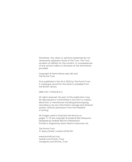Disclaimer: Any views or opinions presented do not necessarily represent those of the Trust. The Trust accepts no liability for the content, or consequences of any actions taken on the basis of the information provided.

Copyright © Dame Diane Lees DBE and The Portal Trust

First published in the UK in 2022 by The Portal Trust. A catalogue record for this book is available from the British Library.

ISBN 978-1-7396318-0-2

All rights reserved. No part of this publication may be reproduced or transmitted in any form or means, electronic or mechanical including photocopying, recording or by any information storage and retrieval system, without permission from the Publisher in writing.

All images used to illustrate the lecture on pages 11–19 are copyright © Imperial War Museums Designed by Andrew Barron/Thextension Printed in England by Gavin Martin Colournet Ltd.

The Portal Trust 31 Jewry Street, London EC3N 2EY

www.portaltrust.org twitter.com/Portal\_Trust instagram.com/Portal\_Trust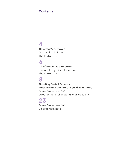## **Contents**

## **4**

**Chairman's Foreword** John Hall, Chairman The Portal Trust

## **6**

**Chief Executive's Foreword**

Richard Foley, Chief Executive The Portal Trust

## **8**

**Creating Global Citizens: Museums and their role in building a future** Dame Diane Lees DBE, Director-General, Imperial War Museums

# **23**

**Dame Diane Lees DBE** Biographical note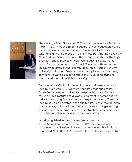#### **Chairman's Foreword**



The evening of 2nd November 2021 has proven memorable for the Portal Trust. It was the Trust's inaugural annual education lecture under its own new name and logo. The lecture took place in a long-familiar lecture theatre in Bunhill Row, but what had been the Cass Business School is now, as this photograph shows, the Bayes Business School. Professor Paolo Volpin gave his customarily warm Dean's welcome to the School. The vote of thanks to our lecturer was given by the recently-appointed President of City, University of London, Professor Sir Anthony Finkelstein CBE FREng, to whom we were pleased to relate the Trust's long-standing creative relationship with his university.

Because of the Covid-19 pandemic, there had been no annual lecture in autumn 2020. We were honoured that our lecturer, Dame Diane Lees, was willing to postpone by a year. By good fortune, Covid restrictions allowed us to meet in person shortly before the surging Omicron variant swept the country. Thus, the lecture could be delivered in the auditorium. But for the first time, the audience, which included many of the Trust's long-standing partners and collaborators and former trustees, was joined by an invisible audience connected remotely by Zoom.

#### **Our distinguished lecturer: Dame Diane Lees** DBE

At the time of her lecture, Diane was CBE, but the gap between delivery and publication allows us to congratulate her for being appointed DBE in the 2022 New Year Honours for her services to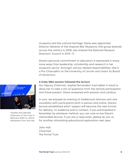museums and the cultural heritage. Diane was appointed Director-General of the Imperial War Museums (the group extends across the nation) in 2008, she chaired the National Museum Directors' Council in 2013–17.

Diane's personal commitment to education is expressed in many more ways than leadership, scholarship and research in her museums sector. Amongst various related responsibilities, she is a Pro-Chancellor on the University of Lincoln and chairs its Board of Governors.

#### **A lively Q&A session followed the lecture**

Our Deputy Chairman, Sophie Fernandes,\* had tablet in hand to allow her to take a mix of questions from the remote participants and those present. Diane answered with passion and candour.

In sum, we enjoyed an evening of intellectual stimulus and rare sociability with participants both in person and online. Diane's lecture established what I expect will become the new format for delivery: to audience and to camera. If you participated in November by whatever method, you can now re-live Diane's memorable lecture. If you are a newcomer, please do join us for another stimulating educational exploration next year.

John Hall Chairman The Portal Trust



\*Sophie was elected Chairman of the Trust in February 2022 on John's retirement from the role.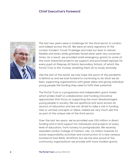#### **Chief Executive's Foreword**



The last two years were a challenge for the third sector in London, and indeed across the UK. We were an early signatory of the London Funders' Covid-19 pledge and tried our best to remain flexible and listen while grantees faced what were very uncertain times. As a result, we provided small emergency grants to some of the most impacted projects we support and purchased laptops for every pupil at Stepney All Saints Secondary School, of which the Portal Trust is the Trustee, enabling them all to study remotely.

Like the rest of the world, we now hope the worst of the pandemic is behind us and we look forward to continuing to do what we do best; supporting organisations with great ideas and giving individual young people the funding they need to fulfil their potential.

The Portal Trust is a progressive and independent grant-maker which prides itself on collaboration and funding innovative approaches that focus on supporting the most disadvantaged young people in society. We are apolitical and work across all sectors of education and are not afraid to take a risk in funding new or untried concepts or ideas; indeed we very much see this as part of the unique role of the third sector.

Over the last ten years, we've provided over £50 million in direct funding and in-kind support for individuals and projects at every level of education, from nursery to postgraduate. We recently awarded London College of Fashion, UAL, £4 million towards its social responsibility activities and construction of a new campus located at East Bank, Stratford, but we are also proud of the community organisations we provide with more modest grants.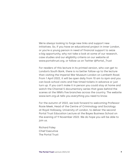We're always looking to forge new links and support new initiatives. So, if you have an educational project in inner London, or you're a young person in need of financial support to seize a big opportunity, why not take a look at some of our research, case studies and our eligibility criteria on our website at www.portaltrust.org, or follow us on Twitter @Portal\_Trust

For readers of this lecture in its printed version, who can get to London's South Bank, there is no better follow-up to the lecture than visiting the Imperial War Museum London on Lambeth Road. From 1 April 2022, it will be open daily from 10 am to 6pm and you can book school visits and free timed tickets in advance or just turn up. If you can't make it in person you could stay at home and watch the Channel 5 documentary series that goes behind the scenes at the IWM's five branches across the country. The website www.iwm.org.uk tells you everything you need to know.

For the autumn of 2022, we look forward to welcoming Professor Rosie Meek, Head of the Centre of Criminology and Sociology at Royal Holloway, University of London, to deliver the second Portal Trust Education Lecture at the Bayes Business School on the evening of 9 November 2022. We do hope you will be able to join us.

Richard Foley Chief Executive The Portal Trust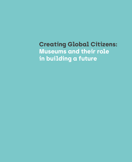**Creating Global Citizens: Museums and their role in building a future**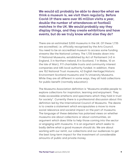**We would all probably be able to describe what we think a museum is, we visit them regularly. Before Covid-19 there were over 85 million visits a year, double the number of attendances at football matches in the UK. We would probably say they display things, and they create exhibitions and have events, but do we truly know what else they do?**

There are an estimated 3,000 museums in the UK. Of these 1,735 are accredited, i.e. officially recognised by the Arts Council. You need to be an accredited museum to access some funding streams like the National Lottery. The 1,735 breaks down into 71 National Museums, established by Act of Parliament (43 in England, 3 in Northern Ireland, 8 in Scotland, 7 in Wales, 10 on the Isle of Man), 911 charitable trusts and community interest companies and 485 local authority funded. In addition, there are 152 National Trust museums, 42 English Heritage/Historic Environment Scotland museums and 74 University Museums. While they are all different in some ways, they all hold collections for public benefit (normally education).

The Museums Association definition is "Museums enable people to explore collections for inspiration, learning and enjoyment. They make accessible artefacts and specimens which they hold in trust for society". Currently there is a professional discussion about this definition led by the International Council of Museums. The desire is to create a statement which encapsulates a move to more social relevance and societal impact on the part of museums. The language of these debates has polarised views on whether museums are about collections or about communities, an argument which does little to help those coming into the sector or engaging with museums. It is an argument which seeks to badly define what a good museum should do. We are about working with our remit, our collections and our audiences to get the best long-term impact for the investment of considerable amounts of public and private money.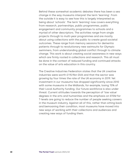Behind these somewhat academic debates there has been a sea change in the way museums interpret the term 'learning'. From the outside it is easy to see how this is largely interpreted as being about 'schools'. The term 'learning' now covers everything from research, partnerships, public programmes, public engagement and community programmes to schools and a myriad of other descriptors. The activities range from single projects through to multi-year programmes and are mostly about using collections with the public to create good societal outcomes. These range from memory sessions for dementia patients through to revolutionary new swimsuits for Olympic swimmers, from understanding global conflict through to climate change. This work is about creating social awareness in new ways which are firmly rooted in collections and research. This all must be done in the context of reduced funding and continued attacks on the value of arts education in this country.

The Creative Industries Federation states that the UK creative industries were worth £115.9bn GVA and that the sector was growing by four times the rate of the UK economy in 2019. Yet investment in our museums has dropped significantly since 2010 with some museums in the Midlands, for example, losing 70% of their Local Authority funding. Our future workforce is also under threat. Current attitudes towards the perception of 'low value' degrees in the arts and humanities and the emphasis on STEM for T-levels are going to reduce the number of people seeking careers in the museum industry. Against all of this, rather than sitting back and bemoaning their condition, most museums have moved into new ways of working with their collections and audiences and creating new ways of funding them.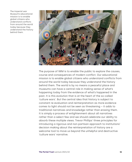The Imperial war Museum's educational mission is to enable global citizens who understand conflicts from around the world today because they understand the history behind them.



The purpose of IWM is to enable the public to explore the causes, course and consequences of modern conflict. Our educational mission is to enable global citizens who understand conflicts from around the world today because they understand the history behind them. The world is by no means a peaceful place and museums can have a central role in making sense of what's happening today from the evidence of what's happened in the past. It is this evolution that is at the heart of the so-called 'culture wars'. But the central idea that history is subject to constant re-evaluation and reinterpretation as more evidence comes to light should not be seen as threatening – it adds to traditional narratives and knowledge rather than erasing them. It is simply a process of enlightenment about all narratives rather than a select few and we should celebrate our ability to absorb these multiple views. Trevor Phillips' three principles for introducing a rigorous and non-partisan approach to institutions' decision making about the reinterpretation of history are a welcome tool to move us beyond the unhelpful and destructive 'culture wars' narrative.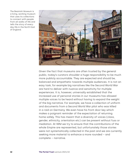The Beamish Museum is a living, working museum that uses its collections to connect with people from all walks of life and tells the story of everyday life in the North East of England.



Given the fact that museums are often trusted by the general public, today's curators shoulder a huge responsibility to be much more publicly accountable. They are expected and should be, balanced and empathetic towards multiple audiences. It is not an easy task, for example big narratives like the Second World War are hard to deliver with nuance and sensitivity for multiple experiences. It is, however, universally established that the increased use of personal stories in our museums has allowed multiple voices to be heard without having to expand the weight of the big narrative. For example, we have a collection of uniform and documents from a Second World War pilot who was killed in a raid on Germany. We even have his front door key which makes a poignant reminder of the expectation of returning home safely. This has meant that a diversity of voices (class, gender, ethnicity, orientation etc) can be present without fuss or mediation. At IWM we try to ensure that the contributions of the whole Empire are represented, but unfortunately those stories were not systematically collected in the past and we are currently seeking more material to enhance a more rounded – and complete – narrative.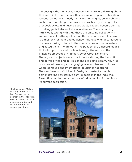Increasingly, the many civic museums in the UK are thinking about their roles in the context of other community agendas. Traditional regional collections, mostly with Victorian origins, cover subjects such as art and design, ceramics, natural history, ethnography, archaeology etc and have, as you would expect, become centred on telling global stories to local audiences. There is nothing intrinsically wrong with that, these are amazing collections, in some cases of better quality than those in our national museums. It is their environment and audience that have changed. Museums are now showing objects to the communities whose ancestors originated them. The growth of the post Empire diaspora means that what you share with whom is very different from the principles embedded in Prince Albert's Great Exhibition. These grand projects were about demonstrating the innovation and power of the Empire. This change to being 'community first' has created new ways of engaging local audiences in places where domestic and international tourism is not strong. The new Museum of Making in Derby is a perfect example, demonstrating how Derby's central position in the Industrial Revolution can be made a source of pride and inspiration from its current population.



The Museum of Making in Derby demonstrates how Derby's central position in the Industrial Revolution can be made a source of pride and inspiration from its current population.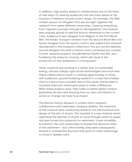In addition, high quality research collaborations are at the heart of new ways of creating audiences that are more aware of the nuances of debates around current issues. For example, the IWM London season on refugees from war brought together the research from seven different universities. Covering everything from migration journeys through to demographics, the museum was uniquely placed to add the historic dimension to the current crisis. Evidence of war refugees from Belgium in the First World War; the Kinder Transport children from the Second World War and Syrian refugees from the recent conflict was added from material represented in the museum's collections. This put current debates around refugees into both a historic and a contemporary context. Current research projects include Mental Health and War, also funded by the research councils, which will result in the production of new exhibitions in coming years.

Other museums are working in a similar way on sustainable energy, climate change, agricultural technologies and much else. These collaborations result in creating opportunities to share, with audiences, ground-breaking research in a way that enables them to have a more rounded view of the issues and be able to translate them into meaningful ways to make a difference. When these projects work, they make us better global citizens, expanding the lens and showing how our own contribution to action or change can have true impact.

The Natural History Museum in London had a research collaboration with swimwear company Speedo. The scientists at the museum were conducting research into the evolution and design of the skin of sharks. This resulted in a new material which replicated the abilities of sharks to move through water at speed and was turned into bodysuits for swimmers. It was incredibly successful; the suits measurably increased the distance times of the swimmers – but unfortunately, they were subsequently banned in competition because they gave an unfair advantage to those in Speedo suits.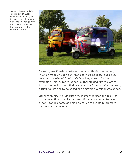Social cohesion: this Tuk Tuk project at Luton Museums was designed to encourage the Asian diaspora to engage with the museum in telling their culture to other Luton residents.



Brokering relationships between communities is another way in which museums can contribute to more peaceful societies. IWM held a series of Conflict Cafes alongside our Syrian exhibition. This invited refugees, journalists and film makers to talk to the public about their views on the Syrian conflict, allowing difficult questions to be asked and answered within a safe space.

Other examples include Luton Museums who used the Tuk Tuks in the collection to broker conversations on Asian heritage with other Luton residents as part of a series of events to promote a cohesive community.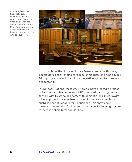In Nottingham, the National Justice Museum works with young people at risk of offending to reduce crime rates and runs a Mock Trials programme which explains the justice system to those who encounter it.



In Nottingham, the National Justice Museum works with young people at risk of offending to reduce crime rates and runs a Mock Trials programme which explains the justice system to those who encounter it.

In Liverpool, National Museums Liverpool have created a project called House of Memories – an NHS commissioned programme to work with Liverpool residents with dementia. This multi-awardwinning project has now been running for ten years and has a sustained set of impacts for its audience. This shows how museums are working for long term outcomes for its programmes rather than short term popular hits.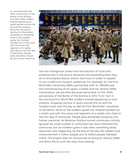To commemorate the 100th anniversary of the Battle of the Somme, First World War soldiers started appearing at public places around the UK and the numbers built over the day as did the First World War casualties at the Battle. None of the soldiers spoke, but instead handed out a small card with the name and regiment of a soldier who died on the first day of the battle. People were extremely moved by this human memorial.



The real change has come from the injection of multi-arts professionals in the sector. Museums are expanding what they do to encompass dance, drama and music in order to appeal to non-traditional museum audiences. For example, for the First World War Centenary IWM's partnership with 14–18NOW saw the commissioning of an opera, a ballet and the Jeremy Deller masterpiece *'we are here because we're here'* on the 100th anniversary of the Battle of the Somme in 2016. From 7pm in the morning First World War soldiers started appearing at train stations, shopping centres or parks around the UK and the numbers built over the day as did the First World War casualties at the Battle. None of the soldiers spoke, but instead handed out a small card with the name and regiment of a soldier who died on the first day of the battle. People were extremely moved by this human memorial. At Waterloo Station normal commuters initially ignored the small number of uniformed men that infiltrated the concourse, but as numbers grew it was clear something really important was happening. By the end of the day the soldiers had interacted with 2 million people and 12 million people followed online. The project was not announced as being by Jeremy Deller and Rufus Norris until the news that evening.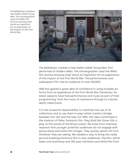The Balletboyz created a new ballet called *Young Men*. The choreographer used the IWM's film archive showing shell shock as inspiration for an exploration of the impact of the First World War.



The Balletboyz created a new ballet called *Young Men*, first performed at Sadlers Wells. The choreographer used the IWM's film archive showing shell shock as inspiration for an exploration of the impact of the First World War. The performances and subsequent film had an audience of over 500,000.

IWM has gained a great deal of confidence in using multiple art forms from its experience of the First World War Centenary. Its latest seasons have had performance and music as part of their programming, from the music of resistance through to a Syrian death metal band.

It is the museum's responsibility to maximise the use of its collections and to use them in ways which create a bridge between the 'old' and the new. For IWM, this idea culminated in the creation of Peter Jackson's film *They Shall Not Grow Old*, a play on the words of the Binyon poem. We knew from intensive research that younger potential audiences do not engage with grainy black and white film images. They quickly switch off from whatever they are seeing. We needed a way to bring this really ground-breaking historical film to new audiences. The film, which takes oral testimony and 100-year-old black and white film from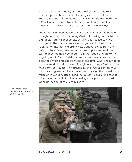the museum's collections, creates a full colour, 4K digitally restored production specifically designed to attract the Youth audience to learning about the First World War. With over 300 million views worldwide, this is example of the ability of museums to 'power up' and use collections in new ways.

The other revolution museums have faced in recent years and brought into sharp focus during Covid-19 is using our content on digital platforms. For example, at IWM, this has led to major changes in the way it creates learning opportunities for all. 'Conflict of Interest' is a brand-new podcast series from the IWM Institute. Over seven episodes, we unpack some of the world's most complex conflicts, from the Yugoslav Wars to the ongoing war in Syria. Celebrity guests ask the simple questions about the most pressing conflicts of our time: What's really going on in Yemen? How did the war in Afghanistan begin? What do we mean by 'The Troubles' in Northern Ireland? Guided by an IWM curator, our guest is taken on a journey through the Imperial War Museum in London, discovering the objects, people and stories which bring a conflict to life. Amazingly one podcast stayed a week at the top of the Spotify listing.



A still from Peter Jackson's film *They Shall Not Grow Old*.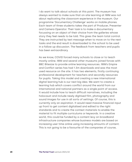I do want to talk about schools at this point. The museum has always wanted to make sure that on-site learning at IWM was not about replicating the classroom experience in the museum. Our programme 'Documentary Challenge' works on mobile phones. Each team of three students takes the part of Producer, Presenter and Camera Operator. Their task is to make a documentary focussing on an object of their choice from the galleries whose story they feel needs to be told. This gives the team total control. They are instructed by text message when to move on to the next tasks and the end result is downloaded to the school to be used in a follow up discussion. The feedback from teachers and pupils has been extraordinary.

As we know, COVID forced many schools to close or to teach mostly online. IWM and several other museums joined forces with BBC Bitesize to provide online learning resources. IWM's Empire and Conflict series has had 1.3m downloads and was the most used resource on the site. It has two elements, firstly continuing professional development for teachers and secondly resources for pupils. Taking this model and creating a new international digital learning hub is our next big idea. We want to create a learning hub which covers conflict around the world from our international and national partners as a single point of access. It would include how to teach difficult narratives, including the holocaust and include newly digitised film, photography and sound images for use in all sorts of settings. Of course, this is currently only an aspiration. It would need massive financial input up front to get content digitalised and edited to the right standards and to create the context materials to enable the material to fit multiple curriculums or keywords. In a creative world, this could be funded by a content levy on broadband infrastructure companies whose business models are based on increasing user time online using increasing amounts of content. This is not going to be a favourite of the companies of course,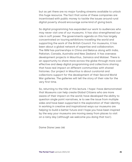but as yet there are no major funding streams available to unlock this huge resource. The fact that some of these companies are incentivised with public money to tackle the issues around rural digital poverty should encourage some kind of giving back.

So digital programming has expanded our work to audiences who may never visit one of our museums. It has also strengthened our role in soft power. The governments agenda on this has largely concentrated on touring exhibitions travelling the world and supporting the work of the British Council. For museums, it has been about a global network of expertise and collaboration. The IWM has partnerships in China and Belarus along with India, Pakistan, Canada, Australia and New Zealand. It has overseas development projects in Mauritius, Jamaica and Malawi. There is an opportunity to share more across the globe through more cost effective and deep digital programming and collections sharing that have real impact on different communities with shared histories. Our project in Mauritius is about curatorial and collections support for the development of their Second World War galleries. The galleries will tell the story of their role for the very first time.

So, returning to the title of this lecture. I hope I have demonstrated that Museums can help create Global Citizens who are more aware of their impact on the world; have developed the ability to question single point narratives, ie to see the issue from multiple sides and have been supported in the exploration of their identity. In working in creative and inspirational ways our museums are helping to build a better future and I hope you have been inspired by the way your museums are moving away from places to visit on a rainy day (although we welcome you doing that too!).

Dame Diane Lees DBE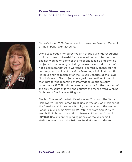### **Dame Diane Lees DBE** Director-General, Imperial War Museums



Since October 2008, Diane Lees has served as Director-General of the Imperial War Museums.

Diane Lees began her career as an historic buildings researcher and then moved into exhibitions, education and interpretation. She has worked on some of the most challenging and exciting projects in the country, including the rescue and relocation of a hat block manufacturer's workshop in central Manchester, the recovery and display of the Mary Rose flagship in Portsmouth Harbour and the redisplay of the Nelson Galleries at the Royal Naval Museum. She project-managed the creation of the UK standard for the recording of information about museum collections (SPECTRUM) and was responsible for the creation of the only museum of law in the country, the multi-award-winning Galleries of Justice in Nottingham.

She is a Trustee of the IWM Development Trust and The Gerry Holdsworth Special Forces Trust. She serves as Vice President of the American Air Museum in Britain, is a member of the Women Leaders in Museums Network (WLMN) and from April 2013 to March 2017 chaired the National Museum Directors' Council (NMDC). She sits on the judging panels of the Museums + Heritage Awards and the 2022 Art Fund Museum of the Year.